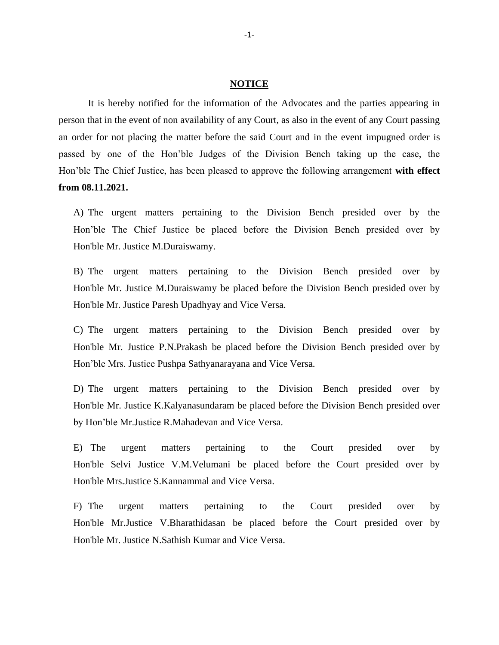## **NOTICE**

It is hereby notified for the information of the Advocates and the parties appearing in person that in the event of non availability of any Court, as also in the event of any Court passing an order for not placing the matter before the said Court and in the event impugned order is passed by one of the Hon'ble Judges of the Division Bench taking up the case, the Hon'ble The Chief Justice, has been pleased to approve the following arrangement **with effect from 08.11.2021.**

A) The urgent matters pertaining to the Division Bench presided over by the Hon'ble The Chief Justice be placed before the Division Bench presided over by Hon'ble Mr. Justice M.Duraiswamy.

B) The urgent matters pertaining to the Division Bench presided over by Hon'ble Mr. Justice M.Duraiswamy be placed before the Division Bench presided over by Hon'ble Mr. Justice Paresh Upadhyay and Vice Versa.

C) The urgent matters pertaining to the Division Bench presided over by Hon'ble Mr. Justice P.N.Prakash be placed before the Division Bench presided over by Hon'ble Mrs. Justice Pushpa Sathyanarayana and Vice Versa.

D) The urgent matters pertaining to the Division Bench presided over by Hon'ble Mr. Justice K.Kalyanasundaram be placed before the Division Bench presided over by Hon'ble Mr.Justice R.Mahadevan and Vice Versa.

E) The urgent matters pertaining to the Court presided over by Hon'ble Selvi Justice V.M.Velumani be placed before the Court presided over by Hon'ble Mrs.Justice S.Kannammal and Vice Versa.

F) The urgent matters pertaining to the Court presided over by Hon'ble Mr.Justice V.Bharathidasan be placed before the Court presided over by Hon'ble Mr. Justice N.Sathish Kumar and Vice Versa.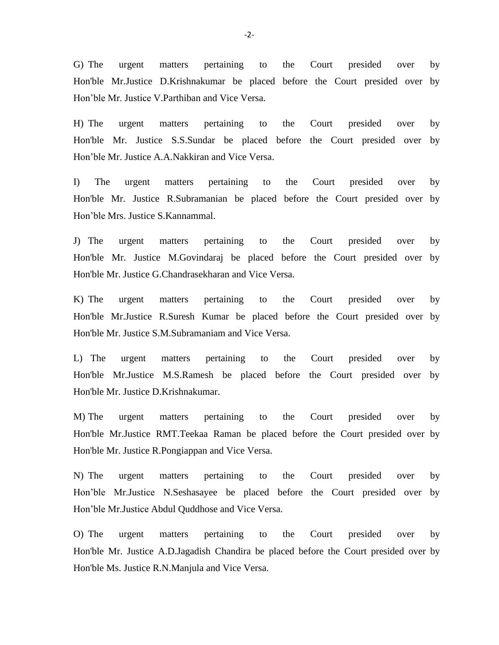G) The urgent matters pertaining to the Court presided over by Hon'ble Mr.Justice D.Krishnakumar be placed before the Court presided over by Hon'ble Mr. Justice V.Parthiban and Vice Versa.

H) The urgent matters pertaining to the Court presided over by Hon'ble Mr. Justice S.S.Sundar be placed before the Court presided over by Hon'ble Mr. Justice A.A.Nakkiran and Vice Versa.

I) The urgent matters pertaining to the Court presided over by Hon'ble Mr. Justice R.Subramanian be placed before the Court presided over by Hon'ble Mrs. Justice S.Kannammal.

J) The urgent matters pertaining to the Court presided over by Hon'ble Mr. Justice M.Govindaraj be placed before the Court presided over by Hon'ble Mr. Justice G.Chandrasekharan and Vice Versa.

K) The urgent matters pertaining to the Court presided over by Hon'ble Mr.Justice R.Suresh Kumar be placed before the Court presided over by Hon'ble Mr. Justice S.M.Subramaniam and Vice Versa.

L) The urgent matters pertaining to the Court presided over by Hon'ble Mr.Justice M.S.Ramesh be placed before the Court presided over by Hon'ble Mr. Justice D.Krishnakumar.

M) The urgent matters pertaining to the Court presided over by Hon'ble Mr.Justice RMT.Teekaa Raman be placed before the Court presided over by Hon'ble Mr. Justice R.Pongiappan and Vice Versa.

N) The urgent matters pertaining to the Court presided over by Hon'ble Mr.Justice N.Seshasayee be placed before the Court presided over by Hon'ble Mr.Justice Abdul Quddhose and Vice Versa.

O) The urgent matters pertaining to the Court presided over by Hon'ble Mr. Justice A.D.Jagadish Chandira be placed before the Court presided over by Hon'ble Ms. Justice R.N.Manjula and Vice Versa.